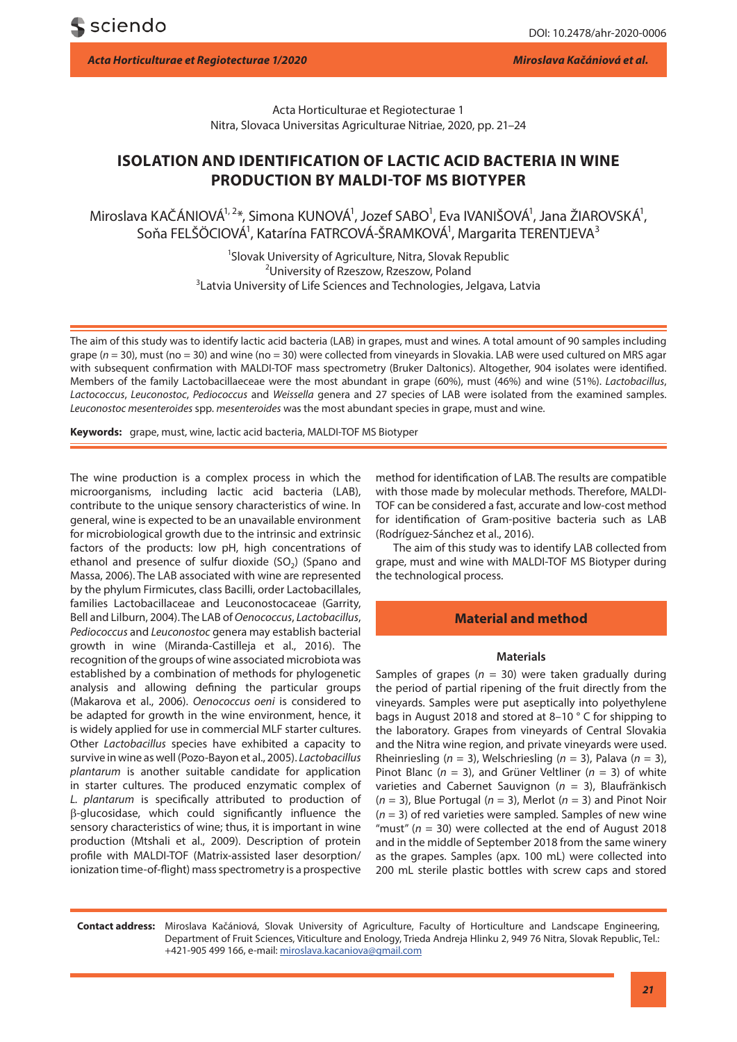Acta Horticulturae et Regiotecturae 1 Nitra, Slovaca Universitas Agriculturae Nitriae, 2020, pp. 21–24

# **ISOLATION AND IDENTIFICATION OF LACTIC ACID BACTERIA IN WINE PRODUCTION BY MALDI-TOF MS BIOTYPER**

Miroslava KAČÁNIOVÁ<sup>1,2\*</sup>, Simona KUNOVÁ<sup>1</sup>, Jozef SABO<sup>1</sup>, Eva IVANIŠOVÁ<sup>1</sup>, Jana ŽIAROVSKÁ<sup>1</sup>, Soňa FELŠÖCIOVÁ<sup>1</sup>, Katarína FATRCOVÁ-ŠRAMKOVÁ<sup>1</sup>, Margarita TERENTJEVA<sup>3</sup>

> <sup>1</sup>Slovak University of Agriculture, Nitra, Slovak Republic <sup>2</sup>University of Breezew Breezew Reland <sup>2</sup>University of Rzeszow, Rzeszow, Poland <sup>3</sup> Latvia University of Life Sciences and Technologies, Jelgava, Latvia

The aim of this study was to identify lactic acid bacteria (LAB) in grapes, must and wines. A total amount of 90 samples including grape (*n* = 30), must (no = 30) and wine (no = 30) were collected from vineyards in Slovakia. LAB were used cultured on MRS agar with subsequent confirmation with MALDI-TOF mass spectrometry (Bruker Daltonics). Altogether, 904 isolates were identified. Members of the family Lactobacillaeceae were the most abundant in grape (60%), must (46%) and wine (51%). *Lactobacillus*, *Lactococcus*, *Leuconostoc*, *Pediococcus* and *Weissella* genera and 27 species of LAB were isolated from the examined samples. *Leuconostoc mesenteroides* spp. *mesenteroides* was the most abundant species in grape, must and wine.

**Keywords:** grape, must, wine, lactic acid bacteria, MALDI-TOF MS Biotyper

The wine production is a complex process in which the microorganisms, including lactic acid bacteria (LAB), contribute to the unique sensory characteristics of wine. In general, wine is expected to be an unavailable environment for microbiological growth due to the intrinsic and extrinsic factors of the products: low pH, high concentrations of ethanol and presence of sulfur dioxide  $(SO<sub>2</sub>)$  (Spano and Massa, 2006). The LAB associated with wine are represented by the phylum Firmicutes, class Bacilli, order Lactobacillales, families Lactobacillaceae and Leuconostocaceae (Garrity, Bell and Lilburn, 2004). The LAB of *Oenococcus*, *Lactobacillus*, *Pediococcus* and *Leuconostoc* genera may establish bacterial growth in wine (Miranda-Castilleja et al., 2016). The recognition of the groups of wine associated microbiota was established by a combination of methods for phylogenetic analysis and allowing defining the particular groups (Makarova et al., 2006). *Oenococcus oeni* is considered to be adapted for growth in the wine environment, hence, it is widely applied for use in commercial MLF starter cultures. Other *Lactobacillus* species have exhibited a capacity to survive in wine as well (Pozo-Bayon et al., 2005). *Lactobacillus plantarum* is another suitable candidate for application in starter cultures. The produced enzymatic complex of *L. plantarum* is specifically attributed to production of β-glucosidase, which could significantly influence the sensory characteristics of wine; thus, it is important in wine production (Mtshali et al., 2009). Description of protein profile with MALDI-TOF (Matrix-assisted laser desorption/ ionization time-of-flight) mass spectrometry is a prospective

method for identification of LAB. The results are compatible with those made by molecular methods. Therefore, MALDI-TOF can be considered a fast, accurate and low-cost method for identification of Gram-positive bacteria such as LAB (Rodríguez-Sánchez et al., 2016).

The aim of this study was to identify LAB collected from grape, must and wine with MALDI-TOF MS Biotyper during the technological process.

## **Material and method**

#### **Materials**

Samples of grapes ( $n = 30$ ) were taken gradually during the period of partial ripening of the fruit directly from the vineyards. Samples were put aseptically into polyethylene bags in August 2018 and stored at 8–10 ° C for shipping to the laboratory. Grapes from vineyards of Central Slovakia and the Nitra wine region, and private vineyards were used. Rheinriesling (*n* = 3), Welschriesling (*n* = 3), Palava (*n* = 3), Pinot Blanc (*n* = 3), and Grüner Veltliner (*n* = 3) of white varieties and Cabernet Sauvignon (*n* = 3), Blaufränkisch (*n* = 3), Blue Portugal (*n* = 3), Merlot (*n* = 3) and Pinot Noir (*n* = 3) of red varieties were sampled. Samples of new wine "must" (*n* = 30) were collected at the end of August 2018 and in the middle of September 2018 from the same winery as the grapes. Samples (apx. 100 mL) were collected into 200 mL sterile plastic bottles with screw caps and stored

**Contact address:** Miroslava Kačániová, Slovak University of Agriculture, Faculty of Horticulture and Landscape Engineering, Department of Fruit Sciences, Viticulture and Enology, Trieda Andreja Hlinku 2, 949 76 Nitra, Slovak Republic, Tel.: +421-905 499 166, e-mail: miroslava.kacaniova@gmail.com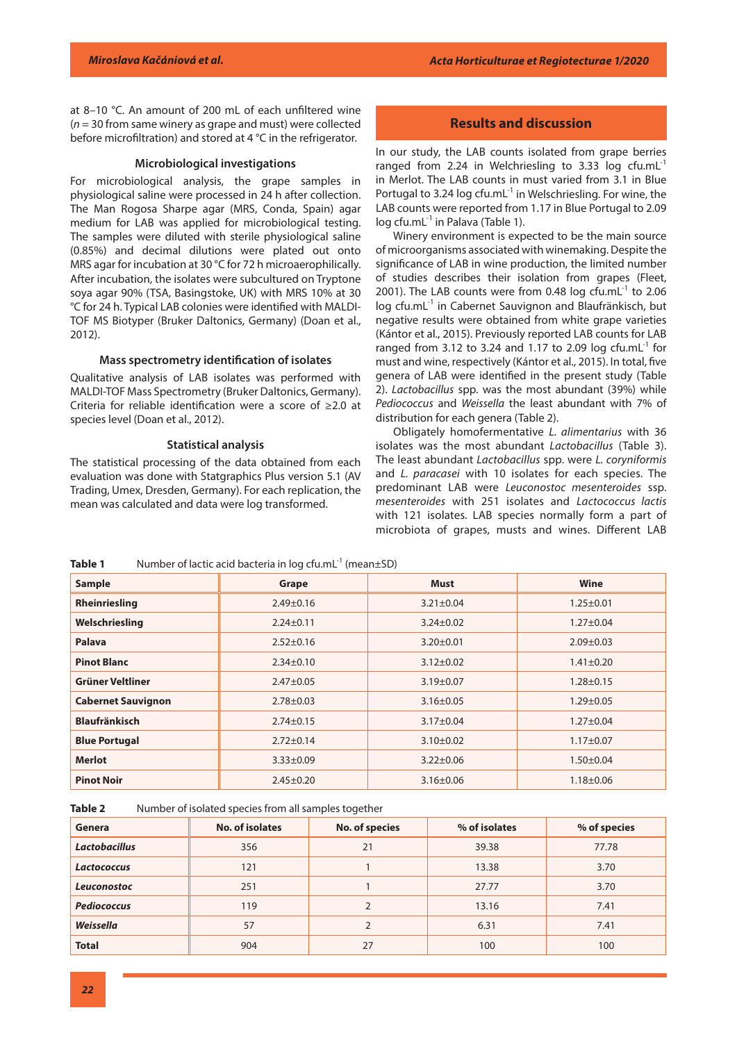at 8–10 °C. An amount of 200 mL of each unfiltered wine (*n* = 30 from same winery as grape and must) were collected before microfiltration) and stored at 4 °C in the refrigerator.

#### **Microbiological investigations**

For microbiological analysis, the grape samples in physiological saline were processed in 24 h after collection. The Man Rogosa Sharpe agar (MRS, Conda, Spain) agar medium for LAB was applied for microbiological testing. The samples were diluted with sterile physiological saline (0.85%) and decimal dilutions were plated out onto MRS agar for incubation at 30 °C for 72 h microaerophilically. After incubation, the isolates were subcultured on Tryptone soya agar 90% (TSA, Basingstoke, UK) with MRS 10% at 30 °C for 24 h. Typical LAB colonies were identified with MALDI-TOF MS Biotyper (Bruker Daltonics, Germany) (Doan et al., 2012).

#### **Mass spectrometry identification of isolates**

Qualitative analysis of LAB isolates was performed with MALDI-TOF Mass Spectrometry (Bruker Daltonics, Germany). Criteria for reliable identification were a score of ≥2.0 at species level (Doan et al., 2012).

#### **Statistical analysis**

The statistical processing of the data obtained from each evaluation was done with Statgraphics Plus version 5.1 (AV Trading, Umex, Dresden, Germany). For each replication, the mean was calculated and data were log transformed.

## **Results and discussion**

In our study, the LAB counts isolated from grape berries ranged from 2.24 in Welchriesling to 3.33 log cfu.mL $^{-1}$ in Merlot. The LAB counts in must varied from 3.1 in Blue Portugal to 3.24 log cfu.mL $^{-1}$  in Welschriesling. For wine, the LAB counts were reported from 1.17 in Blue Portugal to 2.09  $log c$ fu.mL $^{-1}$  in Palava (Table 1).

Winery environment is expected to be the main source of microorganisms associated with winemaking. Despite the significance of LAB in wine production, the limited number of studies describes their isolation from grapes (Fleet, 2001). The LAB counts were from 0.48  $log$  cfu.mL $^{-1}$  to 2.06 log cfu.mL<sup>-1</sup> in Cabernet Sauvignon and Blaufränkisch, but negative results were obtained from white grape varieties (Kántor et al., 2015). Previously reported LAB counts for LAB ranged from 3.12 to 3.24 and 1.17 to 2.09 log cfu.mL $^{-1}$  for must and wine, respectively (Kántor et al., 2015). In total, five genera of LAB were identified in the present study (Table 2). *Lactobacillus* spp. was the most abundant (39%) while *Pediococcus* and *Weissella* the least abundant with 7% of distribution for each genera (Table 2).

Obligately homofermentative *L. alimentarius* with 36 isolates was the most abundant *Lactobacillus* (Table 3). The least abundant *Lactobacillus* spp. were *L. coryniformis* and *L. paracasei* with 10 isolates for each species. The predominant LAB were *Leuconostoc mesenteroides* ssp. *mesenteroides* with 251 isolates and *Lactococcus lactis* with 121 isolates. LAB species normally form a part of microbiota of grapes, musts and wines. Different LAB

| Number of lactic acid bacteria in $log c$ fu.mL <sup>-1</sup> (mean $\pm$ SD)<br>Table 1 |  |
|------------------------------------------------------------------------------------------|--|
|------------------------------------------------------------------------------------------|--|

| Sample                    | Grape           | <b>Must</b>     | Wine            |  |
|---------------------------|-----------------|-----------------|-----------------|--|
| Rheinriesling             | $2.49 \pm 0.16$ | $3.21 \pm 0.04$ | $1.25 \pm 0.01$ |  |
| Welschriesling            | $2.24 \pm 0.11$ | $3.24 \pm 0.02$ | $1.27 \pm 0.04$ |  |
| Palava                    | $2.52 \pm 0.16$ | $3.20 \pm 0.01$ | $2.09 \pm 0.03$ |  |
| <b>Pinot Blanc</b>        | $2.34 \pm 0.10$ | $3.12 \pm 0.02$ | $1.41 \pm 0.20$ |  |
| Grüner Veltliner          | $2.47 \pm 0.05$ | $3.19 \pm 0.07$ | $1.28 \pm 0.15$ |  |
| <b>Cabernet Sauvignon</b> | $2.78 \pm 0.03$ | $3.16 \pm 0.05$ | $1.29 \pm 0.05$ |  |
| <b>Blaufränkisch</b>      | $2.74 \pm 0.15$ | $3.17 \pm 0.04$ | $1.27 \pm 0.04$ |  |
| <b>Blue Portugal</b>      | $2.72 \pm 0.14$ | $3.10 \pm 0.02$ | $1.17 \pm 0.07$ |  |
| <b>Merlot</b>             | $3.33 \pm 0.09$ | $3.22 \pm 0.06$ | $1.50 \pm 0.04$ |  |
| <b>Pinot Noir</b>         | $2.45 \pm 0.20$ | $3.16 \pm 0.06$ | $1.18 \pm 0.06$ |  |

**Table 2** Number of isolated species from all samples together

| Genera               | No. of isolates | <b>No. of species</b> | % of isolates | % of species |
|----------------------|-----------------|-----------------------|---------------|--------------|
| <b>Lactobacillus</b> | 356             | 21                    | 39.38         | 77.78        |
| <b>Lactococcus</b>   | 121             |                       | 13.38         | 3.70         |
| Leuconostoc          | 251             |                       | 27.77         | 3.70         |
| Pediococcus          | 119             |                       | 13.16         | 7.41         |
| Weissella            | 57              |                       | 6.31          | 7.41         |
| <b>Total</b>         | 904             | 27                    | 100           | 100          |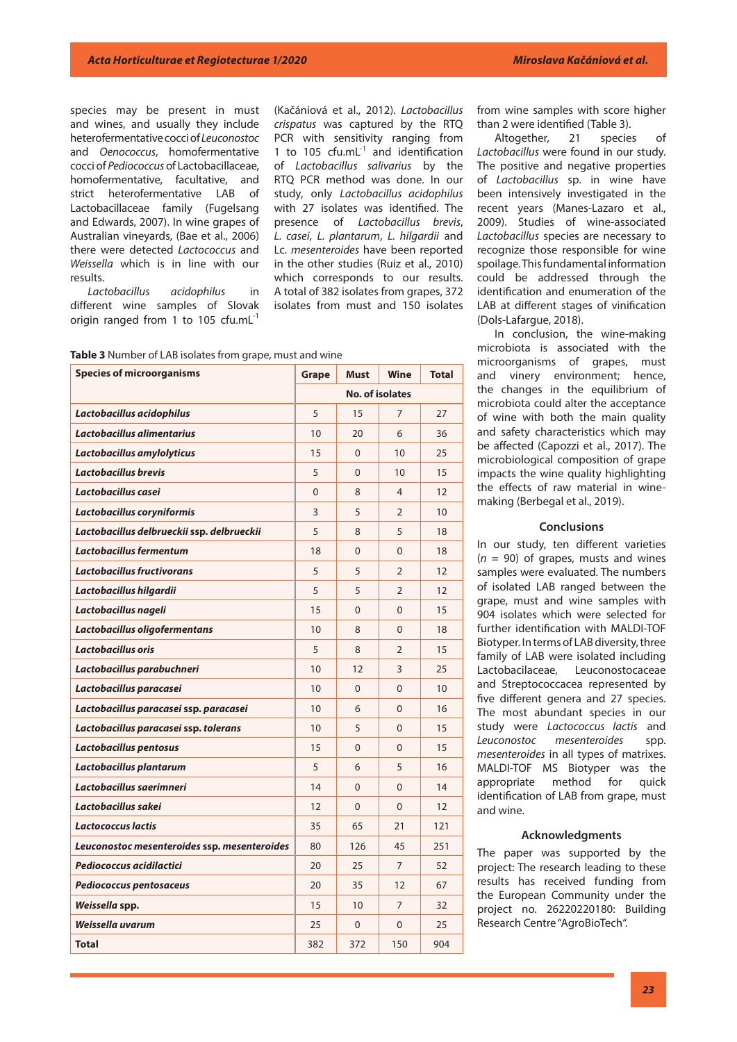species may be present in must and wines, and usually they include heterofermentative cocci of *Leuconostoc* and *Oenococcus*, homofermentative cocci of *Pediococcus* of Lactobacillaceae, homofermentative, facultative, and strict heterofermentative LAB of Lactobacillaceae family (Fugelsang and Edwards, 2007). In wine grapes of Australian vineyards, (Bae et al., 2006) there were detected *Lactococcus* and *Weissella* which is in line with our results.

*Lactobacillus acidophilus* in different wine samples of Slovak origin ranged from 1 to 105 cfu.mL<sup>-1</sup>

(Kačániová et al., 2012). *Lactobacillus crispatus* was captured by the RTQ PCR with sensitivity ranging from 1 to 105  $cfu.mL^{-1}$  and identification of *Lactobacillus salivarius* by the RTQ PCR method was done. In our study, only *Lactobacillus acidophilus* with 27 isolates was identified. The presence of *Lactobacillus brevis*, *L. casei*, *L. plantarum*, *L. hilgardii* and Lc. *mesenteroides* have been reported in the other studies (Ruiz et al., 2010) which corresponds to our results. A total of 382 isolates from grapes, 372 isolates from must and 150 isolates

**Table 3** Number of LAB isolates from grape, must and wine

| <b>Species of microorganisms</b>             | Grape                  | <b>Must</b> | Wine           | <b>Total</b> |
|----------------------------------------------|------------------------|-------------|----------------|--------------|
|                                              | <b>No. of isolates</b> |             |                |              |
| Lactobacillus acidophilus                    | 5                      | 15          | 7              | 27           |
| Lactobacillus alimentarius                   | 10                     | 20          | 6              | 36           |
| Lactobacillus amylolyticus                   | 15                     | $\Omega$    | 10             | 25           |
| Lactobacillus brevis                         | 5                      | $\Omega$    | 10             | 15           |
| Lactobacillus casei                          | 0                      | 8           | $\overline{4}$ | 12           |
| Lactobacillus coryniformis                   | 3                      | 5           | $\overline{2}$ | 10           |
| Lactobacillus delbrueckii ssp. delbrueckii   | 5                      | 8           | 5              | 18           |
| Lactobacillus fermentum                      | 18                     | $\Omega$    | $\Omega$       | 18           |
| Lactobacillus fructivorans                   | 5                      | 5           | 2              | 12           |
| Lactobacillus hilgardii                      | 5                      | 5           | $\overline{2}$ | 12           |
| Lactobacillus nageli                         | 15                     | $\Omega$    | $\Omega$       | 15           |
| Lactobacillus oligofermentans                | 10                     | 8           | $\Omega$       | 18           |
| Lactobacillus oris                           | 5                      | 8           | $\overline{2}$ | 15           |
| Lactobacillus parabuchneri                   | 10                     | 12          | 3              | 25           |
| Lactobacillus paracasei                      | 10                     | 0           | $\mathbf{0}$   | 10           |
| Lactobacillus paracasei ssp. paracasei       | 10                     | 6           | $\Omega$       | 16           |
| Lactobacillus paracasei ssp. tolerans        | 10                     | 5           | $\Omega$       | 15           |
| Lactobacillus pentosus                       | 15                     | 0           | $\mathbf{0}$   | 15           |
| Lactobacillus plantarum                      | 5                      | 6           | 5              | 16           |
| Lactobacillus saerimneri                     | 14                     | $\Omega$    | $\Omega$       | 14           |
| Lactobacillus sakei                          | 12                     | 0           | $\mathbf 0$    | 12           |
| Lactococcus lactis                           | 35                     | 65          | 21             | 121          |
| Leuconostoc mesenteroides ssp. mesenteroides | 80                     | 126         | 45             | 251          |
| Pediococcus acidilactici                     | 20                     | 25          | 7              | 52           |
| Pediococcus pentosaceus                      | 20                     | 35          | 12             | 67           |
| Weissella spp.                               | 15                     | 10          | $\overline{7}$ | 32           |
| Weissella uvarum                             | 25                     | 0           | $\mathbf 0$    | 25           |
| <b>Total</b>                                 | 382                    | 372         | 150            | 904          |

from wine samples with score higher than 2 were identified (Table 3).

Altogether, 21 species of *Lactobacillus* were found in our study. The positive and negative properties of *Lactobacillus* sp. in wine have been intensively investigated in the recent years (Manes-Lazaro et al., 2009). Studies of wine-associated *Lactobacillus* species are necessary to recognize those responsible for wine spoilage. This fundamental information could be addressed through the identification and enumeration of the LAB at different stages of vinification (Dols-Lafargue, 2018).

In conclusion, the wine-making microbiota is associated with the microorganisms of grapes, must and vinery environment; hence, the changes in the equilibrium of microbiota could alter the acceptance of wine with both the main quality and safety characteristics which may be affected (Capozzi et al., 2017). The microbiological composition of grape impacts the wine quality highlighting the effects of raw material in winemaking (Berbegal et al., 2019).

#### **Conclusions**

In our study, ten different varieties  $(n = 90)$  of grapes, musts and wines samples were evaluated. The numbers of isolated LAB ranged between the grape, must and wine samples with 904 isolates which were selected for further identification with MALDI-TOF Biotyper. In terms of LAB diversity, three family of LAB were isolated including Lactobacilaceae, Leuconostocaceae and Streptococcacea represented by five different genera and 27 species. The most abundant species in our study were *Lactococcus lactis* and *Leuconostoc mesenteroides* spp. *mesenteroides* in all types of matrixes. MALDI-TOF MS Biotyper was the appropriate method for quick identification of LAB from grape, must and wine.

#### **Acknowledgments**

The paper was supported by the project: The research leading to these results has received funding from the European Community under the project no. 26220220180: Building Research Centre "AgroBioTech".